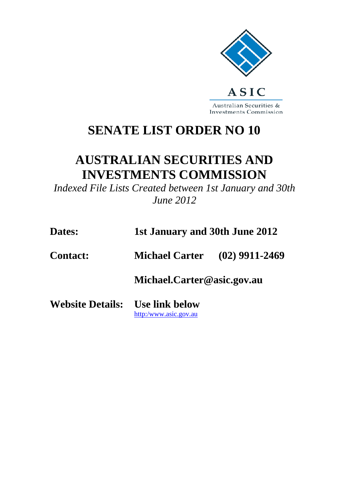

Australian Securities & **Investments Commission** 

## **SENATE LIST ORDER NO 10**

## **AUSTRALIAN SECURITIES AND INVESTMENTS COMMISSION**

*Indexed File Lists Created between 1st January and 30th June 2012*

| Dates:                                 | 1st January and 30th June 2012       |  |  |
|----------------------------------------|--------------------------------------|--|--|
| <b>Contact:</b>                        | <b>Michael Carter</b> (02) 9911-2469 |  |  |
|                                        | Michael.Carter@asic.gov.au           |  |  |
| <b>Website Details:</b> Use link below | http:/www.asic.gov.au                |  |  |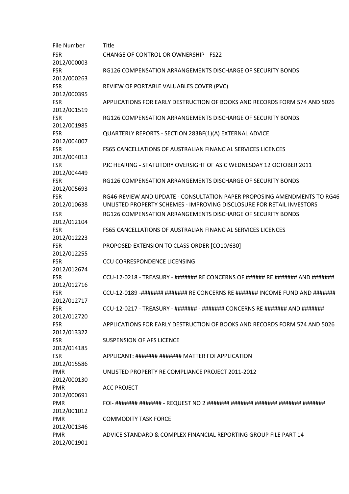| File Number               | <b>Title</b>                                                                                                                                      |
|---------------------------|---------------------------------------------------------------------------------------------------------------------------------------------------|
| FSR<br>2012/000003        | CHANGE OF CONTROL OR OWNERSHIP - FS22                                                                                                             |
| <b>FSR</b><br>2012/000263 | RG126 COMPENSATION ARRANGEMENTS DISCHARGE OF SECURITY BONDS                                                                                       |
| <b>FSR</b><br>2012/000395 | REVIEW OF PORTABLE VALUABLES COVER (PVC)                                                                                                          |
| FSR<br>2012/001519        | APPLICATIONS FOR EARLY DESTRUCTION OF BOOKS AND RECORDS FORM 574 AND 5026                                                                         |
| <b>FSR</b><br>2012/001985 | RG126 COMPENSATION ARRANGEMENTS DISCHARGE OF SECURITY BONDS                                                                                       |
| <b>FSR</b><br>2012/004007 | QUARTERLY REPORTS - SECTION 283BF(1)(A) EXTERNAL ADVICE                                                                                           |
| <b>FSR</b><br>2012/004013 | <b>FS65 CANCELLATIONS OF AUSTRALIAN FINANCIAL SERVICES LICENCES</b>                                                                               |
| <b>FSR</b><br>2012/004449 | PJC HEARING - STATUTORY OVERSIGHT OF ASIC WEDNESDAY 12 OCTOBER 2011                                                                               |
| FSR<br>2012/005693        | RG126 COMPENSATION ARRANGEMENTS DISCHARGE OF SECURITY BONDS                                                                                       |
| <b>FSR</b><br>2012/010638 | RG46-REVIEW AND UPDATE - CONSULTATION PAPER PROPOSING AMENDMENTS TO RG46<br>UNLISTED PROPERTY SCHEMES - IMPROVING DISCLOSURE FOR RETAIL INVESTORS |
| FSR<br>2012/012104        | RG126 COMPENSATION ARRANGEMENTS DISCHARGE OF SECURITY BONDS                                                                                       |
| <b>FSR</b><br>2012/012223 | <b>FS65 CANCELLATIONS OF AUSTRALIAN FINANCIAL SERVICES LICENCES</b>                                                                               |
| <b>FSR</b><br>2012/012255 | PROPOSED EXTENSION TO CLASS ORDER [CO10/630]                                                                                                      |
| FSR<br>2012/012674        | <b>CCU CORRESPONDENCE LICENSING</b>                                                                                                               |
| <b>FSR</b><br>2012/012716 | CCU-12-0218 - TREASURY - ####### RE CONCERNS OF ###### RE ####### AND #######                                                                     |
| FSR<br>2012/012717        | CCU-12-0189 -######## ####### RE CONCERNS RE ####### INCOME FUND AND #######                                                                      |
| <b>FSR</b><br>2012/012720 | CCU-12-0217 - TREASURY - ####### - ####### CONCERNS RE ####### AND #######                                                                        |
| FSR<br>2012/013322        | APPLICATIONS FOR EARLY DESTRUCTION OF BOOKS AND RECORDS FORM 574 AND 5026                                                                         |
| <b>FSR</b><br>2012/014185 | <b>SUSPENSION OF AFS LICENCE</b>                                                                                                                  |
| FSR<br>2012/015586        | APPLICANT: ####### ####### MATTER FOI APPLICATION                                                                                                 |
| PMR<br>2012/000130        | UNLISTED PROPERTY RE COMPLIANCE PROJECT 2011-2012                                                                                                 |
| PMR<br>2012/000691        | <b>ACC PROJECT</b>                                                                                                                                |
| PMR<br>2012/001012        |                                                                                                                                                   |
| PMR<br>2012/001346        | <b>COMMODITY TASK FORCE</b>                                                                                                                       |
| PMR<br>2012/001901        | ADVICE STANDARD & COMPLEX FINANCIAL REPORTING GROUP FILE PART 14                                                                                  |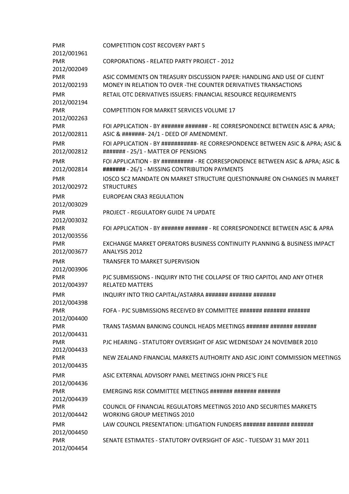| <b>PMR</b><br>2012/001961 | <b>COMPETITION COST RECOVERY PART 5</b>                                                                                                   |
|---------------------------|-------------------------------------------------------------------------------------------------------------------------------------------|
| <b>PMR</b><br>2012/002049 | <b>CORPORATIONS - RELATED PARTY PROJECT - 2012</b>                                                                                        |
| <b>PMR</b><br>2012/002193 | ASIC COMMENTS ON TREASURY DISCUSSION PAPER: HANDLING AND USE OF CLIENT<br>MONEY IN RELATION TO OVER -THE COUNTER DERIVATIVES TRANSACTIONS |
| <b>PMR</b>                | RETAIL OTC DERIVATIVES ISSUERS: FINANCIAL RESOURCE REQUIREMENTS                                                                           |
| 2012/002194               |                                                                                                                                           |
| <b>PMR</b><br>2012/002263 | <b>COMPETITION FOR MARKET SERVICES VOLUME 17</b>                                                                                          |
| <b>PMR</b>                | FOI APPLICATION - BY ####### ####### - RE CORRESPONDENCE BETWEEN ASIC & APRA;                                                             |
| 2012/002811               | ASIC & #######- 24/1 - DEED OF AMENDMENT.                                                                                                 |
| <b>PMR</b><br>2012/002812 | FOI APPLICATION - BY ###########- RE CORRESPONDENCE BETWEEN ASIC & APRA; ASIC &<br>####### - 25/1 - MATTER OF PENSIONS                    |
| <b>PMR</b><br>2012/002814 | FOI APPLICATION - BY ########## - RE CORRESPONDENCE BETWEEN ASIC & APRA; ASIC &<br>####### - 26/1 - MISSING CONTRIBUTION PAYMENTS         |
| <b>PMR</b><br>2012/002972 | IOSCO SC2 MANDATE ON MARKET STRUCTURE QUESTIONNAIRE ON CHANGES IN MARKET<br><b>STRUCTURES</b>                                             |
| <b>PMR</b><br>2012/003029 | <b>EUROPEAN CRA3 REGULATION</b>                                                                                                           |
| <b>PMR</b><br>2012/003032 | <b>PROJECT - REGULATORY GUIDE 74 UPDATE</b>                                                                                               |
| <b>PMR</b><br>2012/003556 | FOI APPLICATION - BY ####### ####### - RE CORRESPONDENCE BETWEEN ASIC & APRA                                                              |
| <b>PMR</b>                | EXCHANGE MARKET OPERATORS BUSINESS CONTINUITY PLANNING & BUSINESS IMPACT                                                                  |
| 2012/003677               | ANALYSIS 2012                                                                                                                             |
| <b>PMR</b>                | <b>TRANSFER TO MARKET SUPERVISION</b>                                                                                                     |
| 2012/003906               |                                                                                                                                           |
| <b>PMR</b>                | PJC SUBMISSIONS - INQUIRY INTO THE COLLAPSE OF TRIO CAPITOL AND ANY OTHER                                                                 |
| 2012/004397               | <b>RELATED MATTERS</b>                                                                                                                    |
| <b>PMR</b>                | INQUIRY INTO TRIO CAPITAL/ASTARRA ####### ####### #######                                                                                 |
| 2012/004398<br><b>PMR</b> | FOFA - PJC SUBMISSIONS RECEIVED BY COMMITTEE ####### ####### #######                                                                      |
| 2012/004400               |                                                                                                                                           |
| <b>PMR</b>                | TRANS TASMAN BANKING COUNCIL HEADS MEETINGS ####### ####### #######                                                                       |
| 2012/004431<br><b>PMR</b> | PJC HEARING - STATUTORY OVERSIGHT OF ASIC WEDNESDAY 24 NOVEMBER 2010                                                                      |
| 2012/004433<br><b>PMR</b> | NEW ZEALAND FINANCIAL MARKETS AUTHORITY AND ASIC JOINT COMMISSION MEETINGS                                                                |
| 2012/004435               |                                                                                                                                           |
| <b>PMR</b><br>2012/004436 | ASIC EXTERNAL ADVISORY PANEL MEETINGS JOHN PRICE'S FILE                                                                                   |
| <b>PMR</b><br>2012/004439 | EMERGING RISK COMMITTEE MEETINGS ####### ####### #######                                                                                  |
| <b>PMR</b><br>2012/004442 | COUNCIL OF FINANCIAL REGULATORS MEETINGS 2010 AND SECURITIES MARKETS<br><b>WORKING GROUP MEETINGS 2010</b>                                |
| <b>PMR</b><br>2012/004450 | LAW COUNCIL PRESENTATION: LITIGATION FUNDERS ####### ####### #######                                                                      |
| <b>PMR</b><br>2012/004454 | SENATE ESTIMATES - STATUTORY OVERSIGHT OF ASIC - TUESDAY 31 MAY 2011                                                                      |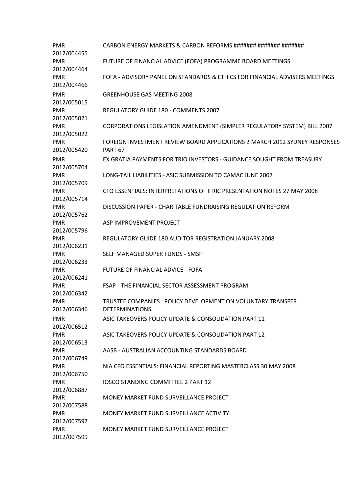| <b>PMR</b><br>2012/004455 | CARBON ENERGY MARKETS & CARBON REFORMS ####### ####### ########                                  |
|---------------------------|--------------------------------------------------------------------------------------------------|
| <b>PMR</b><br>2012/004464 | FUTURE OF FINANCIAL ADVICE (FOFA) PROGRAMME BOARD MEETINGS                                       |
| <b>PMR</b><br>2012/004466 | FOFA - ADVISORY PANEL ON STANDARDS & ETHICS FOR FINANCIAL ADVISERS MEETINGS                      |
| <b>PMR</b><br>2012/005015 | <b>GREENHOUSE GAS MEETING 2008</b>                                                               |
| <b>PMR</b><br>2012/005021 | REGULATORY GUIDE 180 - COMMENTS 2007                                                             |
| <b>PMR</b><br>2012/005022 | CORPORATIONS LEGISLATION AMENDMENT (SIMPLER REGULATORY SYSTEM) BILL 2007                         |
| <b>PMR</b><br>2012/005420 | FOREIGN INVESTMENT REVIEW BOARD APPLICATIONS 2 MARCH 2012 SYDNEY RESPONSES<br>PART <sub>67</sub> |
| <b>PMR</b><br>2012/005704 | EX GRATIA PAYMENTS FOR TRIO INVESTORS - GUIDANCE SOUGHT FROM TREASURY                            |
| <b>PMR</b><br>2012/005709 | LONG-TAIL LIABILITIES - ASIC SUBMISSION TO CAMAC JUNE 2007                                       |
| <b>PMR</b><br>2012/005714 | CFO ESSENTIALS: INTERPRETATIONS OF IFRIC PRESENTATION NOTES 27 MAY 2008                          |
| <b>PMR</b><br>2012/005762 | DISCUSSION PAPER - CHARITABLE FUNDRAISING REGULATION REFORM                                      |
| <b>PMR</b><br>2012/005796 | ASP IMPROVEMENT PROJECT                                                                          |
| <b>PMR</b><br>2012/006231 | REGULATORY GUIDE 180 AUDITOR REGISTRATION JANUARY 2008                                           |
| <b>PMR</b><br>2012/006233 | SELF MANAGED SUPER FUNDS - SMSF                                                                  |
| <b>PMR</b><br>2012/006241 | FUTURE OF FINANCIAL ADVICE - FOFA                                                                |
| <b>PMR</b><br>2012/006342 | FSAP - THE FINANCIAL SECTOR ASSESSMENT PROGRAM                                                   |
| <b>PMR</b><br>2012/006346 | TRUSTEE COMPANIES : POLICY DEVELOPMENT ON VOLUNTARY TRANSFER<br>DETERMINATIONS.                  |
| <b>PMR</b><br>2012/006512 | ASIC TAKEOVERS POLICY UPDATE & CONSOLIDATION PART 11                                             |
| <b>PMR</b><br>2012/006513 | ASIC TAKEOVERS POLICY UPDATE & CONSOLIDATION PART 12                                             |
| <b>PMR</b><br>2012/006749 | AASB - AUSTRALIAN ACCOUNTING STANDARDS BOARD                                                     |
| <b>PMR</b><br>2012/006750 | NIA CFO ESSENTIALS: FINANCIAL REPORTING MASTERCLASS 30 MAY 2008                                  |
| <b>PMR</b><br>2012/006887 | <b>IOSCO STANDING COMMITTEE 2 PART 12</b>                                                        |
| <b>PMR</b><br>2012/007588 | MONEY MARKET FUND SURVEILLANCE PROJECT                                                           |
| <b>PMR</b><br>2012/007597 | MONEY MARKET FUND SURVEILLANCE ACTIVITY                                                          |
| <b>PMR</b><br>2012/007599 | MONEY MARKET FUND SURVEILLANCE PROJECT                                                           |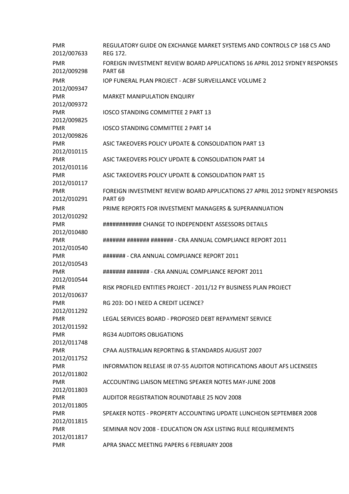| <b>PMR</b><br>2012/007633 | REGULATORY GUIDE ON EXCHANGE MARKET SYSTEMS AND CONTROLS CP 168 C5 AND<br><b>REG 172.</b>         |
|---------------------------|---------------------------------------------------------------------------------------------------|
|                           |                                                                                                   |
| <b>PMR</b><br>2012/009298 | FOREIGN INVESTMENT REVIEW BOARD APPLICATIONS 16 APRIL 2012 SYDNEY RESPONSES<br>PART <sub>68</sub> |
| <b>PMR</b>                | IOP FUNERAL PLAN PROJECT - ACBF SURVEILLANCE VOLUME 2                                             |
| 2012/009347               |                                                                                                   |
| <b>PMR</b>                | <b>MARKET MANIPULATION ENQUIRY</b>                                                                |
| 2012/009372               |                                                                                                   |
| <b>PMR</b><br>2012/009825 | <b>IOSCO STANDING COMMITTEE 2 PART 13</b>                                                         |
| <b>PMR</b>                | <b>IOSCO STANDING COMMITTEE 2 PART 14</b>                                                         |
| 2012/009826               |                                                                                                   |
| <b>PMR</b>                | ASIC TAKEOVERS POLICY UPDATE & CONSOLIDATION PART 13                                              |
| 2012/010115               |                                                                                                   |
| <b>PMR</b>                | ASIC TAKEOVERS POLICY UPDATE & CONSOLIDATION PART 14                                              |
| 2012/010116               |                                                                                                   |
| <b>PMR</b>                | ASIC TAKEOVERS POLICY UPDATE & CONSOLIDATION PART 15                                              |
| 2012/010117               |                                                                                                   |
| <b>PMR</b>                | FOREIGN INVESTMENT REVIEW BOARD APPLICATIONS 27 APRIL 2012 SYDNEY RESPONSES                       |
| 2012/010291               | PART <sub>69</sub>                                                                                |
| <b>PMR</b>                | PRIME REPORTS FOR INVESTMENT MANAGERS & SUPERANNUATION                                            |
| 2012/010292               |                                                                                                   |
| <b>PMR</b>                | ############ CHANGE TO INDEPENDENT ASSESSORS DETAILS                                              |
| 2012/010480               |                                                                                                   |
| <b>PMR</b>                | ####### ####### ####### - CRA ANNUAL COMPLIANCE REPORT 2011                                       |
| 2012/010540               |                                                                                                   |
| <b>PMR</b>                | ####### - CRA ANNUAL COMPLIANCE REPORT 2011                                                       |
| 2012/010543               |                                                                                                   |
| <b>PMR</b>                | ####### ####### - CRA ANNUAL COMPLIANCE REPORT 2011                                               |
| 2012/010544               |                                                                                                   |
| <b>PMR</b><br>2012/010637 | RISK PROFILED ENTITIES PROJECT - 2011/12 FY BUSINESS PLAN PROJECT                                 |
| PMR                       | RG 203: DO I NEED A CREDIT LICENCE?                                                               |
| 2012/011292               |                                                                                                   |
| <b>PMR</b>                | LEGAL SERVICES BOARD - PROPOSED DEBT REPAYMENT SERVICE                                            |
| 2012/011592               |                                                                                                   |
| <b>PMR</b>                | <b>RG34 AUDITORS OBLIGATIONS</b>                                                                  |
| 2012/011748               |                                                                                                   |
| <b>PMR</b>                | CPAA AUSTRALIAN REPORTING & STANDARDS AUGUST 2007                                                 |
| 2012/011752               |                                                                                                   |
| <b>PMR</b>                | <b>INFORMATION RELEASE IR 07-55 AUDITOR NOTIFICATIONS ABOUT AFS LICENSEES</b>                     |
| 2012/011802               |                                                                                                   |
| <b>PMR</b>                | ACCOUNTING LIAISON MEETING SPEAKER NOTES MAY-JUNE 2008                                            |
| 2012/011803               |                                                                                                   |
| <b>PMR</b>                | <b>AUDITOR REGISTRATION ROUNDTABLE 25 NOV 2008</b>                                                |
| 2012/011805               |                                                                                                   |
| <b>PMR</b>                | SPEAKER NOTES - PROPERTY ACCOUNTING UPDATE LUNCHEON SEPTEMBER 2008                                |
| 2012/011815               |                                                                                                   |
| <b>PMR</b>                | SEMINAR NOV 2008 - EDUCATION ON ASX LISTING RULE REQUIREMENTS                                     |
| 2012/011817               |                                                                                                   |
| <b>PMR</b>                | APRA SNACC MEETING PAPERS 6 FEBRUARY 2008                                                         |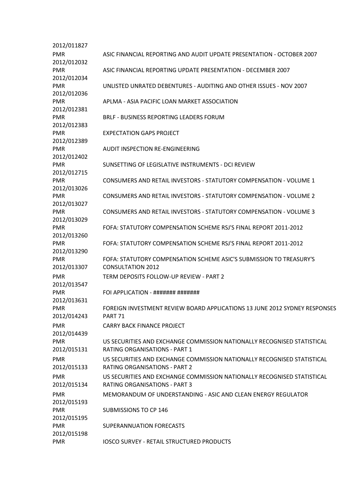| 2012/011827               |                                                                                                                 |
|---------------------------|-----------------------------------------------------------------------------------------------------------------|
| <b>PMR</b>                | ASIC FINANCIAL REPORTING AND AUDIT UPDATE PRESENTATION - OCTOBER 2007                                           |
| 2012/012032               |                                                                                                                 |
| <b>PMR</b>                | ASIC FINANCIAL REPORTING UPDATE PRESENTATION - DECEMBER 2007                                                    |
| 2012/012034               |                                                                                                                 |
| <b>PMR</b>                | UNLISTED UNRATED DEBENTURES - AUDITING AND OTHER ISSUES - NOV 2007                                              |
| 2012/012036               |                                                                                                                 |
| <b>PMR</b>                | APLMA - ASIA PACIFIC LOAN MARKET ASSOCIATION                                                                    |
| 2012/012381               |                                                                                                                 |
| <b>PMR</b>                | <b>BRLF - BUSINESS REPORTING LEADERS FORUM</b>                                                                  |
| 2012/012383               |                                                                                                                 |
| <b>PMR</b>                | <b>EXPECTATION GAPS PROJECT</b>                                                                                 |
| 2012/012389               |                                                                                                                 |
| <b>PMR</b>                | <b>AUDIT INSPECTION RE-ENGINEERING</b>                                                                          |
| 2012/012402               |                                                                                                                 |
| <b>PMR</b>                | SUNSETTING OF LEGISLATIVE INSTRUMENTS - DCI REVIEW                                                              |
| 2012/012715               |                                                                                                                 |
| <b>PMR</b>                | <b>CONSUMERS AND RETAIL INVESTORS - STATUTORY COMPENSATION - VOLUME 1</b>                                       |
| 2012/013026               |                                                                                                                 |
| <b>PMR</b>                | <b>CONSUMERS AND RETAIL INVESTORS - STATUTORY COMPENSATION - VOLUME 2</b>                                       |
| 2012/013027               |                                                                                                                 |
| <b>PMR</b>                | <b>CONSUMERS AND RETAIL INVESTORS - STATUTORY COMPENSATION - VOLUME 3</b>                                       |
| 2012/013029               |                                                                                                                 |
| <b>PMR</b>                | FOFA: STATUTORY COMPENSATION SCHEME RSJ'S FINAL REPORT 2011-2012                                                |
| 2012/013260               |                                                                                                                 |
| <b>PMR</b>                | FOFA: STATUTORY COMPENSATION SCHEME RSJ'S FINAL REPORT 2011-2012                                                |
| 2012/013290               |                                                                                                                 |
| <b>PMR</b>                | FOFA: STATUTORY COMPENSATION SCHEME ASIC'S SUBMISSION TO TREASURY'S                                             |
| 2012/013307               | <b>CONSULTATION 2012</b>                                                                                        |
| <b>PMR</b>                | TERM DEPOSITS FOLLOW-UP REVIEW - PART 2                                                                         |
| 2012/013547               |                                                                                                                 |
| <b>PMR</b>                | FOI APPLICATION - ####### #######                                                                               |
| 2012/013631               |                                                                                                                 |
| <b>PMR</b>                | FOREIGN INVESTMENT REVIEW BOARD APPLICATIONS 13 JUNE 2012 SYDNEY RESPONSES                                      |
| 2012/014243               | <b>PART 71</b>                                                                                                  |
| <b>PMR</b>                | <b>CARRY BACK FINANCE PROJECT</b>                                                                               |
| 2012/014439               |                                                                                                                 |
| <b>PMR</b>                | US SECURITIES AND EXCHANGE COMMISSION NATIONALLY RECOGNISED STATISTICAL                                         |
| 2012/015131               | <b>RATING ORGANISATIONS - PART 1</b>                                                                            |
|                           |                                                                                                                 |
| <b>PMR</b><br>2012/015133 | US SECURITIES AND EXCHANGE COMMISSION NATIONALLY RECOGNISED STATISTICAL<br><b>RATING ORGANISATIONS - PART 2</b> |
|                           |                                                                                                                 |
| <b>PMR</b>                | US SECURITIES AND EXCHANGE COMMISSION NATIONALLY RECOGNISED STATISTICAL                                         |
| 2012/015134               | <b>RATING ORGANISATIONS - PART 3</b>                                                                            |
| <b>PMR</b>                | MEMORANDUM OF UNDERSTANDING - ASIC AND CLEAN ENERGY REGULATOR                                                   |
| 2012/015193               |                                                                                                                 |
| <b>PMR</b>                | <b>SUBMISSIONS TO CP 146</b>                                                                                    |
| 2012/015195               |                                                                                                                 |
| <b>PMR</b>                | SUPERANNUATION FORECASTS                                                                                        |
| 2012/015198               |                                                                                                                 |
| <b>PMR</b>                | <b>IOSCO SURVEY - RETAIL STRUCTURED PRODUCTS</b>                                                                |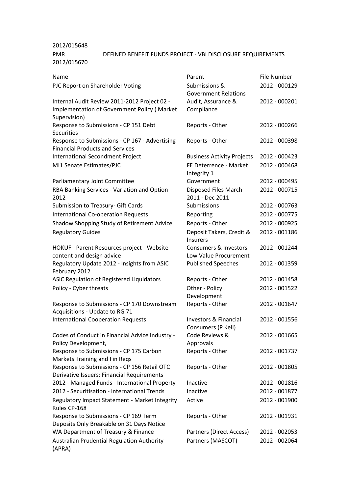## 2012/015648 PMR 2012/015670 DEFINED BENEFIT FUNDS PROJECT - VBI DISCLOSURE REQUIREMENTS

| Name                                                                                                        | Parent                                         | File Number   |
|-------------------------------------------------------------------------------------------------------------|------------------------------------------------|---------------|
| PJC Report on Shareholder Voting                                                                            | Submissions &<br><b>Government Relations</b>   | 2012 - 000129 |
| Internal Audit Review 2011-2012 Project 02 -<br>Implementation of Government Policy (Market<br>Supervision) | Audit, Assurance &<br>Compliance               | 2012 - 000201 |
| Response to Submissions - CP 151 Debt<br>Securities                                                         | Reports - Other                                | 2012 - 000266 |
| Response to Submissions - CP 167 - Advertising<br><b>Financial Products and Services</b>                    | Reports - Other                                | 2012 - 000398 |
| International Secondment Project                                                                            | <b>Business Activity Projects</b>              | 2012 - 000423 |
| MI1 Senate Estimates/PJC                                                                                    | FE Deterrence - Market<br>Integrity 1          | 2012 - 000468 |
| Parliamentary Joint Committee                                                                               | Government                                     | 2012 - 000495 |
| RBA Banking Services - Variation and Option<br>2012                                                         | <b>Disposed Files March</b><br>2011 - Dec 2011 | 2012 - 000715 |
| Submission to Treasury- Gift Cards                                                                          | Submissions                                    | 2012 - 000763 |
| <b>International Co-operation Requests</b>                                                                  | Reporting                                      | 2012 - 000775 |
| Shadow Shopping Study of Retirement Advice                                                                  | Reports - Other                                | 2012 - 000925 |
| <b>Regulatory Guides</b>                                                                                    | Deposit Takers, Credit &<br>Insurers           | 2012 - 001186 |
| HOKUF - Parent Resources project - Website<br>content and design advice                                     | Consumers & Investors<br>Low Value Procurement | 2012 - 001244 |
| Regulatory Update 2012 - Insights from ASIC<br>February 2012                                                | <b>Published Speeches</b>                      | 2012 - 001359 |
| ASIC Regulation of Registered Liquidators                                                                   | Reports - Other                                | 2012 - 001458 |
| Policy - Cyber threats                                                                                      | Other - Policy<br>Development                  | 2012 - 001522 |
| Response to Submissions - CP 170 Downstream<br>Acquisitions - Update to RG 71                               | Reports - Other                                | 2012 - 001647 |
| <b>International Cooperation Requests</b>                                                                   | Investors & Financial<br>Consumers (P Kell)    | 2012 - 001556 |
| Codes of Conduct in Financial Advice Industry -<br>Policy Development,                                      | Code Reviews &<br>Approvals                    | 2012 - 001665 |
| Response to Submissions - CP 175 Carbon<br>Markets Training and Fin Reqs                                    | Reports - Other                                | 2012 - 001737 |
| Response to Submissions - CP 156 Retail OTC<br>Derivative Issuers: Financial Requirements                   | Reports - Other                                | 2012 - 001805 |
| 2012 - Managed Funds - International Property                                                               | Inactive                                       | 2012 - 001816 |
| 2012 - Securitisation - International Trends                                                                | Inactive                                       | 2012 - 001877 |
| Regulatory Impact Statement - Market Integrity<br>Rules CP-168                                              | Active                                         | 2012 - 001900 |
| Response to Submissions - CP 169 Term<br>Deposits Only Breakable on 31 Days Notice                          | Reports - Other                                | 2012 - 001931 |
| WA Department of Treasury & Finance                                                                         | Partners (Direct Access)                       | 2012 - 002053 |
| Australian Prudential Regulation Authority<br>(APRA)                                                        | Partners (MASCOT)                              | 2012 - 002064 |